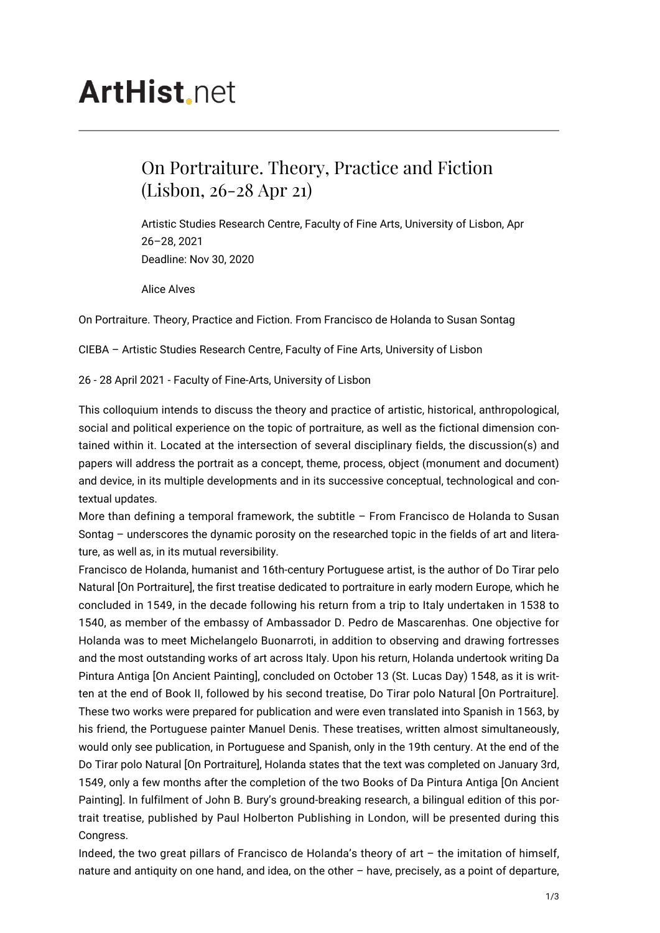# **ArtHist**, net

## On Portraiture. Theory, Practice and Fiction (Lisbon, 26-28 Apr 21)

Artistic Studies Research Centre, Faculty of Fine Arts, University of Lisbon, Apr 26–28, 2021 Deadline: Nov 30, 2020

Alice Alves

On Portraiture. Theory, Practice and Fiction. From Francisco de Holanda to Susan Sontag

CIEBA – Artistic Studies Research Centre, Faculty of Fine Arts, University of Lisbon

26 - 28 April 2021 - Faculty of Fine-Arts, University of Lisbon

This colloquium intends to discuss the theory and practice of artistic, historical, anthropological, social and political experience on the topic of portraiture, as well as the fictional dimension contained within it. Located at the intersection of several disciplinary fields, the discussion(s) and papers will address the portrait as a concept, theme, process, object (monument and document) and device, in its multiple developments and in its successive conceptual, technological and contextual updates.

More than defining a temporal framework, the subtitle – From Francisco de Holanda to Susan Sontag – underscores the dynamic porosity on the researched topic in the fields of art and literature, as well as, in its mutual reversibility.

Francisco de Holanda, humanist and 16th-century Portuguese artist, is the author of Do Tirar pelo Natural [On Portraiture], the first treatise dedicated to portraiture in early modern Europe, which he concluded in 1549, in the decade following his return from a trip to Italy undertaken in 1538 to 1540, as member of the embassy of Ambassador D. Pedro de Mascarenhas. One objective for Holanda was to meet Michelangelo Buonarroti, in addition to observing and drawing fortresses and the most outstanding works of art across Italy. Upon his return, Holanda undertook writing Da Pintura Antiga [On Ancient Painting], concluded on October 13 (St. Lucas Day) 1548, as it is written at the end of Book II, followed by his second treatise, Do Tirar polo Natural [On Portraiture]. These two works were prepared for publication and were even translated into Spanish in 1563, by his friend, the Portuguese painter Manuel Denis. These treatises, written almost simultaneously, would only see publication, in Portuguese and Spanish, only in the 19th century. At the end of the Do Tirar polo Natural [On Portraiture], Holanda states that the text was completed on January 3rd, 1549, only a few months after the completion of the two Books of Da Pintura Antiga [On Ancient Painting]. In fulfilment of John B. Bury's ground-breaking research, a bilingual edition of this portrait treatise, published by Paul Holberton Publishing in London, will be presented during this Congress.

Indeed, the two great pillars of Francisco de Holanda's theory of art – the imitation of himself, nature and antiquity on one hand, and idea, on the other – have, precisely, as a point of departure,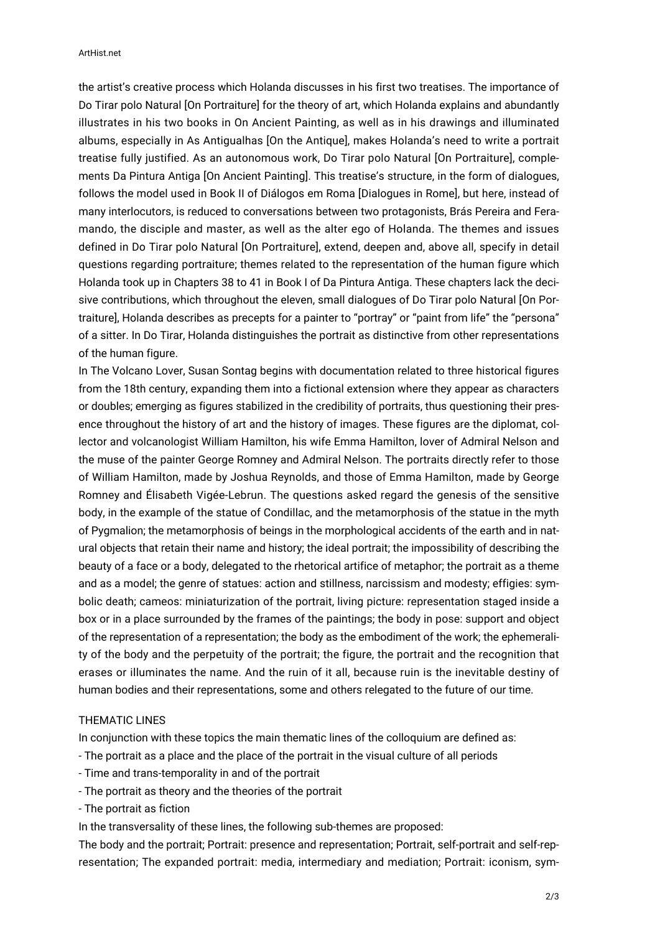the artist's creative process which Holanda discusses in his first two treatises. The importance of Do Tirar polo Natural [On Portraiture] for the theory of art, which Holanda explains and abundantly illustrates in his two books in On Ancient Painting, as well as in his drawings and illuminated albums, especially in As Antigualhas [On the Antique], makes Holanda's need to write a portrait treatise fully justified. As an autonomous work, Do Tirar polo Natural [On Portraiture], complements Da Pintura Antiga [On Ancient Painting]. This treatise's structure, in the form of dialogues, follows the model used in Book II of Diálogos em Roma [Dialogues in Rome], but here, instead of many interlocutors, is reduced to conversations between two protagonists, Brás Pereira and Feramando, the disciple and master, as well as the alter ego of Holanda. The themes and issues defined in Do Tirar polo Natural [On Portraiture], extend, deepen and, above all, specify in detail questions regarding portraiture; themes related to the representation of the human figure which Holanda took up in Chapters 38 to 41 in Book I of Da Pintura Antiga. These chapters lack the decisive contributions, which throughout the eleven, small dialogues of Do Tirar polo Natural [On Portraiture], Holanda describes as precepts for a painter to "portray" or "paint from life" the "persona" of a sitter. In Do Tirar, Holanda distinguishes the portrait as distinctive from other representations of the human figure.

In The Volcano Lover, Susan Sontag begins with documentation related to three historical figures from the 18th century, expanding them into a fictional extension where they appear as characters or doubles; emerging as figures stabilized in the credibility of portraits, thus questioning their presence throughout the history of art and the history of images. These figures are the diplomat, collector and volcanologist William Hamilton, his wife Emma Hamilton, lover of Admiral Nelson and the muse of the painter George Romney and Admiral Nelson. The portraits directly refer to those of William Hamilton, made by Joshua Reynolds, and those of Emma Hamilton, made by George Romney and Élisabeth Vigée-Lebrun. The questions asked regard the genesis of the sensitive body, in the example of the statue of Condillac, and the metamorphosis of the statue in the myth of Pygmalion; the metamorphosis of beings in the morphological accidents of the earth and in natural objects that retain their name and history; the ideal portrait; the impossibility of describing the beauty of a face or a body, delegated to the rhetorical artifice of metaphor; the portrait as a theme and as a model; the genre of statues: action and stillness, narcissism and modesty; effigies: symbolic death; cameos: miniaturization of the portrait, living picture: representation staged inside a box or in a place surrounded by the frames of the paintings; the body in pose: support and object of the representation of a representation; the body as the embodiment of the work; the ephemerality of the body and the perpetuity of the portrait; the figure, the portrait and the recognition that erases or illuminates the name. And the ruin of it all, because ruin is the inevitable destiny of human bodies and their representations, some and others relegated to the future of our time.

#### THEMATIC LINES

In conjunction with these topics the main thematic lines of the colloquium are defined as:

- The portrait as a place and the place of the portrait in the visual culture of all periods
- Time and trans-temporality in and of the portrait
- The portrait as theory and the theories of the portrait
- The portrait as fiction

In the transversality of these lines, the following sub-themes are proposed:

The body and the portrait; Portrait: presence and representation; Portrait, self-portrait and self-representation; The expanded portrait: media, intermediary and mediation; Portrait: iconism, sym